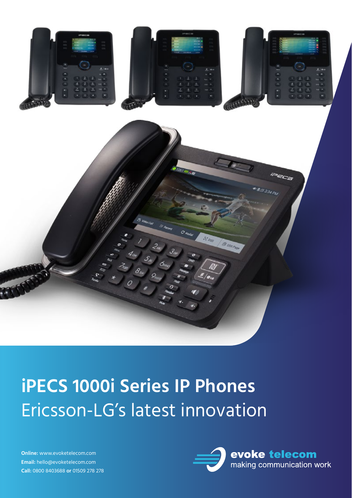

# **iPECS 1000i Series IP Phones** Ericsson-LG's latest innovation

**Online:** www.evoketelecom.com **Email:** hello@evoketelecom.com **Call:** 0800 8403688 **or** 01509 278 278